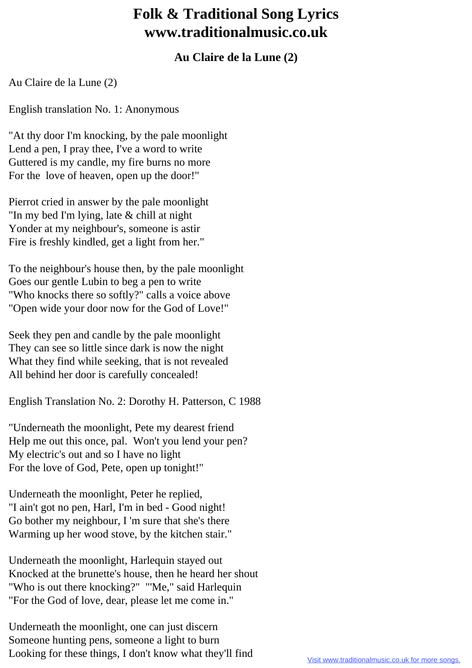## **Folk & Traditional Song Lyrics www.traditionalmusic.co.uk**

## **Au Claire de la Lune (2)**

Au Claire de la Lune (2)

English translation No. 1: Anonymous

"At thy door I'm knocking, by the pale moonlight Lend a pen, I pray thee, I've a word to write Guttered is my candle, my fire burns no more For the love of heaven, open up the door!"

Pierrot cried in answer by the pale moonlight "In my bed I'm lying, late & chill at night Yonder at my neighbour's, someone is astir Fire is freshly kindled, get a light from her."

To the neighbour's house then, by the pale moonlight Goes our gentle Lubin to beg a pen to write "Who knocks there so softly?" calls a voice above "Open wide your door now for the God of Love!"

Seek they pen and candle by the pale moonlight They can see so little since dark is now the night What they find while seeking, that is not revealed All behind her door is carefully concealed!

English Translation No. 2: Dorothy H. Patterson, C 1988

"Underneath the moonlight, Pete my dearest friend Help me out this once, pal. Won't you lend your pen? My electric's out and so I have no light For the love of God, Pete, open up tonight!"

Underneath the moonlight, Peter he replied, "I ain't got no pen, Harl, I'm in bed - Good night! Go bother my neighbour, I 'm sure that she's there Warming up her wood stove, by the kitchen stair."

Underneath the moonlight, Harlequin stayed out Knocked at the brunette's house, then he heard her shout "Who is out there knocking?" "'Me," said Harlequin "For the God of love, dear, please let me come in."

Underneath the moonlight, one can just discern Someone hunting pens, someone a light to burn Looking for these things, I don't know what they'll find